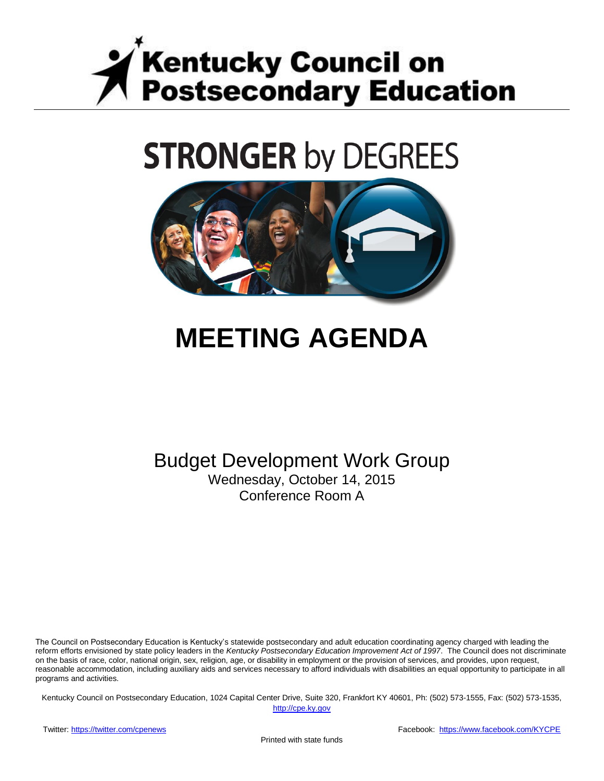

# **STRONGER by DEGREES**



## **MEETING AGENDA**

Budget Development Work Group Wednesday, October 14, 2015 Conference Room A

The Council on Postsecondary Education is Kentucky's statewide postsecondary and adult education coordinating agency charged with leading the reform efforts envisioned by state policy leaders in the *Kentucky Postsecondary Education Improvement Act of 1997*. The Council does not discriminate on the basis of race, color, national origin, sex, religion, age, or disability in employment or the provision of services, and provides, upon request, reasonable accommodation, including auxiliary aids and services necessary to afford individuals with disabilities an equal opportunity to participate in all programs and activities.

Kentucky Council on Postsecondary Education, 1024 Capital Center Drive, Suite 320, Frankfort KY 40601, Ph: (502) 573-1555, Fax: (502) 573-1535,

[http://cpe.ky.gov](http://cpe.ky.gov/)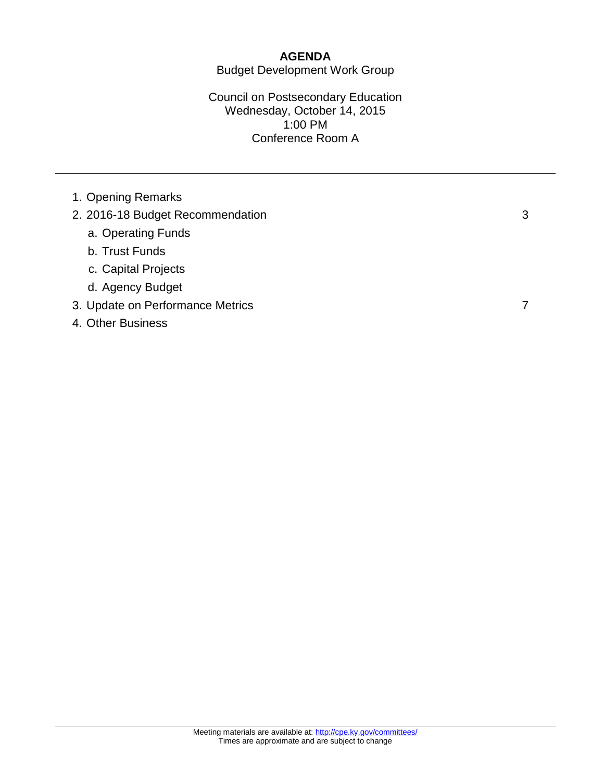#### **AGENDA** Budget Development Work Group

#### Council on Postsecondary Education Wednesday, October 14, 2015 1:00 PM Conference Room A

1. Opening Remarks

### 2. 2016-18 Budget Recommendation 3

- a. Operating Funds
- b. Trust Funds
- c. Capital Projects
- d. Agency Budget
- 3. Update on Performance Metrics 7

#### 4. Other Business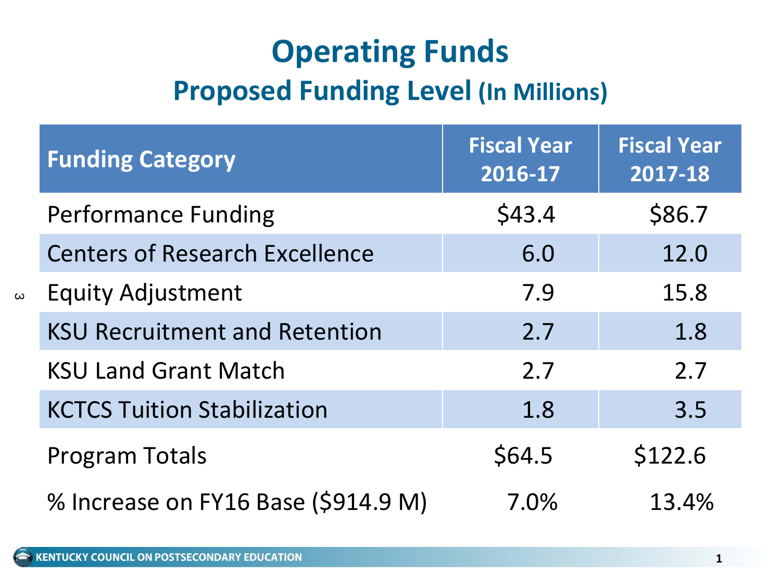### **Operating Funds Proposed Funding Level (In Millions)**

| <b>Funding Category</b>               | <b>Fiscal Year</b><br>$2016 - 17$ | <b>Fiscal Year</b><br>2017-18 |  |
|---------------------------------------|-----------------------------------|-------------------------------|--|
| <b>Performance Funding</b>            | \$43.4                            | \$86.7                        |  |
| <b>Centers of Research Excellence</b> | 6.0                               | 12.0                          |  |
| <b>Equity Adjustment</b>              | 7.9                               | 15.8                          |  |
| <b>KSU Recruitment and Retention</b>  | 2.7                               | 1.8                           |  |
| <b>KSU Land Grant Match</b>           | 2.7                               | 2.7                           |  |
| <b>KCTCS Tuition Stabilization</b>    | 1.8                               | 3.5                           |  |
| <b>Program Totals</b>                 | \$64.5                            | \$122.6                       |  |
| % Increase on FY16 Base (\$914.9 M)   | 7.0%                              | 13.4%                         |  |

 $\omega$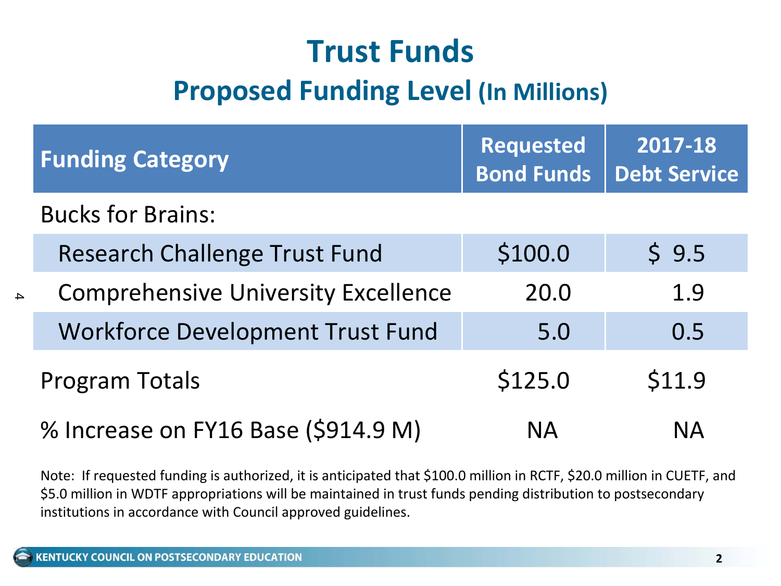## **Trust Funds Proposed Funding Level (In Millions)**

| <b>Funding Category</b>                    | <b>Requested</b><br><b>Bond Funds</b> | 2017-18<br><b>Debt Service</b> |  |
|--------------------------------------------|---------------------------------------|--------------------------------|--|
| <b>Bucks for Brains:</b>                   |                                       |                                |  |
| <b>Research Challenge Trust Fund</b>       | \$100.0                               | \$9.5                          |  |
| <b>Comprehensive University Excellence</b> | 20.0                                  | 1.9                            |  |
| <b>Workforce Development Trust Fund</b>    | 5.0                                   | 0.5                            |  |
| <b>Program Totals</b>                      | \$125.0                               | \$11.9                         |  |
| % Increase on FY16 Base (\$914.9 M)        | <b>NA</b>                             | <b>NA</b>                      |  |

Note: If requested funding is authorized, it is anticipated that \$100.0 million in RCTF, \$20.0 million in CUETF, and \$5.0 million in WDTF appropriations will be maintained in trust funds pending distribution to postsecondary institutions in accordance with Council approved guidelines.

 $\Delta$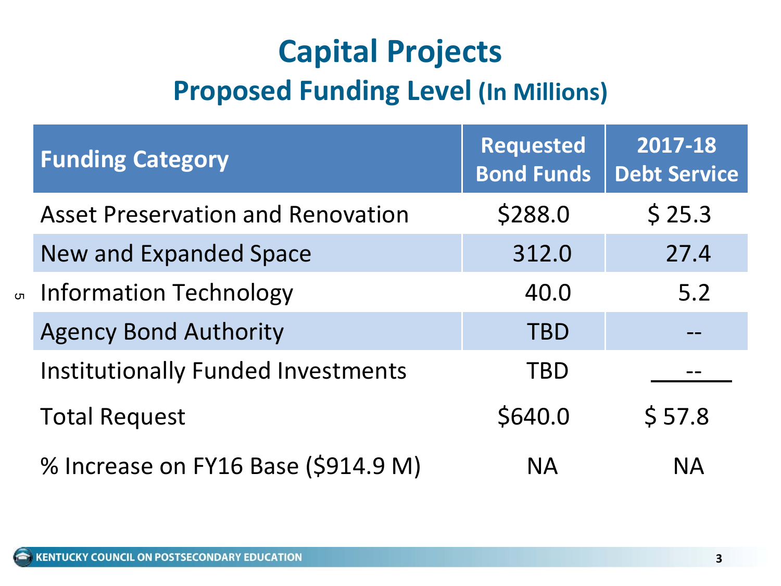### **Capital Projects Proposed Funding Level (In Millions)**

|  | <b>Funding Category</b>                  | <b>Requested</b><br><b>Bond Funds</b> | 2017-18<br><b>Debt Service</b> |
|--|------------------------------------------|---------------------------------------|--------------------------------|
|  | <b>Asset Preservation and Renovation</b> | \$288.0                               | \$25.3                         |
|  | <b>New and Expanded Space</b>            | 312.0                                 | 27.4                           |
|  | ∞ Information Technology                 | 40.0                                  | 5.2                            |
|  | <b>Agency Bond Authority</b>             | <b>TBD</b>                            |                                |
|  | Institutionally Funded Investments       | TBD                                   |                                |
|  | <b>Total Request</b>                     | \$640.0                               | \$57.8                         |
|  | % Increase on FY16 Base (\$914.9 M)      | <b>NA</b>                             | <b>NA</b>                      |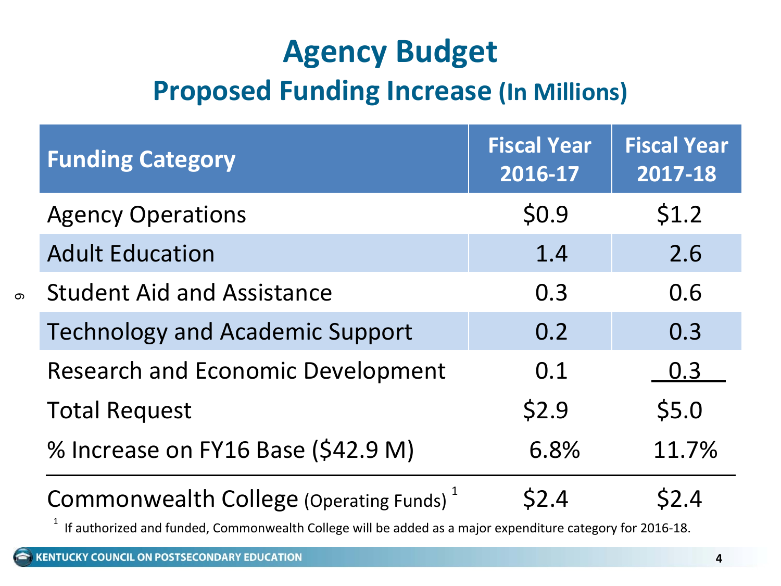### **Agency Budget Proposed Funding Increase (In Millions)**

| <b>Funding Category</b>                             | <b>Fiscal Year</b><br>2016-17 | <b>Fiscal Year</b><br>2017-18 |
|-----------------------------------------------------|-------------------------------|-------------------------------|
| <b>Agency Operations</b>                            | \$0.9                         | \$1.2                         |
| <b>Adult Education</b>                              | 1.4                           | 2.6                           |
| <b>Student Aid and Assistance</b>                   | 0.3                           |                               |
| <b>Technology and Academic Support</b>              | 0.2                           |                               |
| <b>Research and Economic Development</b>            | 0.1                           | 0.3                           |
| <b>Total Request</b>                                | \$2.9                         | \$5.0                         |
| % Increase on FY16 Base (\$42.9 M)                  | 6.8%                          |                               |
| Commonwealth College (Operating Funds) <sup>1</sup> | \$2.4                         | S2.4                          |

 $^{\text{1}}\,$  If authorized and funded, Commonwealth College will be added as a major expenditure category for 2016-18.

 $\sigma$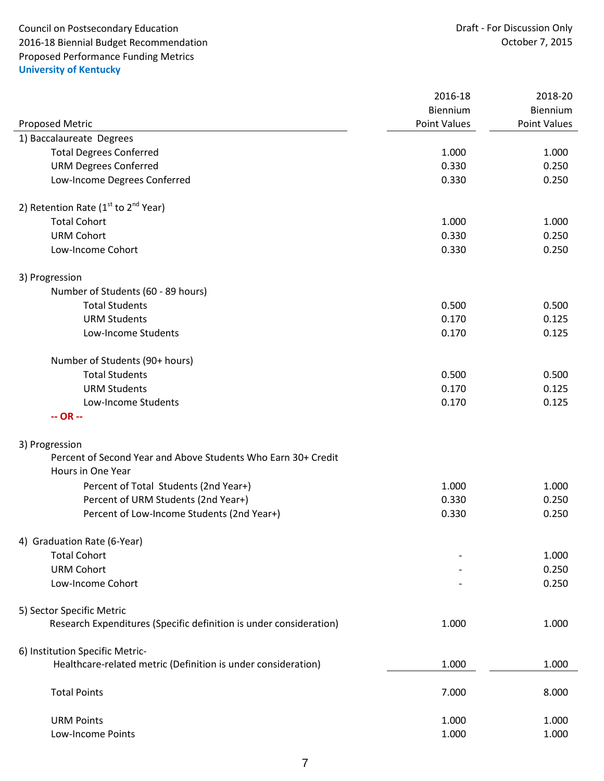Council on Postsecondary Education<br>
2016-18 Biennial Budget Recommendation<br>
2016-18 Draft - For Discussion Only 2016-18 Biennial Budget Recommendation Proposed Performance Funding Metrics **University of Kentucky**

|                                                                    | 2016-18             | 2018-20      |
|--------------------------------------------------------------------|---------------------|--------------|
|                                                                    | Biennium            | Biennium     |
| Proposed Metric                                                    | <b>Point Values</b> | Point Values |
| 1) Baccalaureate Degrees                                           |                     |              |
| <b>Total Degrees Conferred</b>                                     | 1.000               | 1.000        |
| <b>URM Degrees Conferred</b>                                       | 0.330               | 0.250        |
| Low-Income Degrees Conferred                                       | 0.330               | 0.250        |
| 2) Retention Rate ( $1st$ to $2nd$ Year)                           |                     |              |
| <b>Total Cohort</b>                                                | 1.000               | 1.000        |
| <b>URM Cohort</b>                                                  | 0.330               | 0.250        |
| Low-Income Cohort                                                  | 0.330               | 0.250        |
| 3) Progression                                                     |                     |              |
| Number of Students (60 - 89 hours)                                 |                     |              |
| <b>Total Students</b>                                              | 0.500               | 0.500        |
| <b>URM Students</b>                                                | 0.170               | 0.125        |
| Low-Income Students                                                | 0.170               | 0.125        |
| Number of Students (90+ hours)                                     |                     |              |
| <b>Total Students</b>                                              | 0.500               | 0.500        |
| <b>URM Students</b>                                                | 0.170               | 0.125        |
| Low-Income Students                                                | 0.170               | 0.125        |
| $-OR -$                                                            |                     |              |
| 3) Progression                                                     |                     |              |
| Percent of Second Year and Above Students Who Earn 30+ Credit      |                     |              |
| Hours in One Year                                                  |                     |              |
| Percent of Total Students (2nd Year+)                              | 1.000               | 1.000        |
| Percent of URM Students (2nd Year+)                                | 0.330               | 0.250        |
| Percent of Low-Income Students (2nd Year+)                         | 0.330               | 0.250        |
| 4) Graduation Rate (6-Year)                                        |                     |              |
| <b>Total Cohort</b>                                                |                     | 1.000        |
| <b>URM Cohort</b>                                                  |                     | 0.250        |
| Low-Income Cohort                                                  |                     | 0.250        |
| 5) Sector Specific Metric                                          |                     |              |
| Research Expenditures (Specific definition is under consideration) | 1.000               | 1.000        |
| 6) Institution Specific Metric-                                    |                     |              |
| Healthcare-related metric (Definition is under consideration)      | 1.000               | 1.000        |
| <b>Total Points</b>                                                | 7.000               | 8.000        |
| <b>URM Points</b>                                                  | 1.000               | 1.000        |
| Low-Income Points                                                  | 1.000               | 1.000        |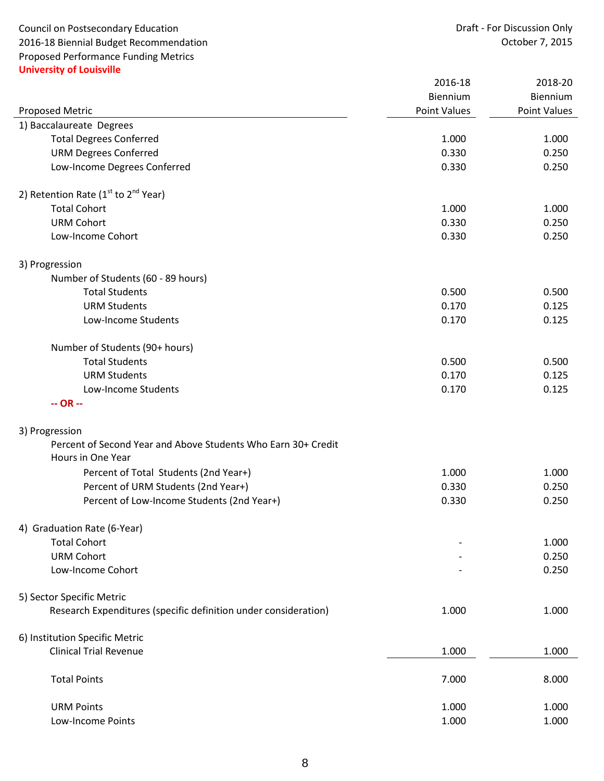Council on Postsecondary Education **Council on Postsecondary Education** Draft - For Discussion Only<br>2016-18 Biennial Budget Recommendation **Draft - Exercise Council on August 2016** 2016-18 Biennial Budget Recommendation Proposed Performance Funding Metrics **University of Louisville**

|                                                                 | 2016-18      | 2018-20      |
|-----------------------------------------------------------------|--------------|--------------|
|                                                                 | Biennium     | Biennium     |
| <b>Proposed Metric</b>                                          | Point Values | Point Values |
| 1) Baccalaureate Degrees                                        |              |              |
| <b>Total Degrees Conferred</b>                                  | 1.000        | 1.000        |
| <b>URM Degrees Conferred</b>                                    | 0.330        | 0.250        |
| Low-Income Degrees Conferred                                    | 0.330        | 0.250        |
| 2) Retention Rate ( $1st$ to $2nd$ Year)                        |              |              |
| <b>Total Cohort</b>                                             | 1.000        | 1.000        |
| <b>URM Cohort</b>                                               | 0.330        | 0.250        |
| Low-Income Cohort                                               | 0.330        | 0.250        |
| 3) Progression                                                  |              |              |
| Number of Students (60 - 89 hours)                              |              |              |
| <b>Total Students</b>                                           | 0.500        | 0.500        |
| <b>URM Students</b>                                             | 0.170        | 0.125        |
| Low-Income Students                                             | 0.170        | 0.125        |
| Number of Students (90+ hours)                                  |              |              |
| <b>Total Students</b>                                           | 0.500        | 0.500        |
| <b>URM Students</b>                                             | 0.170        | 0.125        |
| Low-Income Students                                             | 0.170        | 0.125        |
| $-OR -$                                                         |              |              |
| 3) Progression                                                  |              |              |
| Percent of Second Year and Above Students Who Earn 30+ Credit   |              |              |
| Hours in One Year                                               |              |              |
| Percent of Total Students (2nd Year+)                           | 1.000        | 1.000        |
| Percent of URM Students (2nd Year+)                             | 0.330        | 0.250        |
| Percent of Low-Income Students (2nd Year+)                      | 0.330        | 0.250        |
| 4) Graduation Rate (6-Year)                                     |              |              |
| <b>Total Cohort</b>                                             |              | 1.000        |
| <b>URM Cohort</b>                                               |              | 0.250        |
| Low-Income Cohort                                               |              | 0.250        |
| 5) Sector Specific Metric                                       |              |              |
| Research Expenditures (specific definition under consideration) | 1.000        | 1.000        |
| 6) Institution Specific Metric                                  |              |              |
| <b>Clinical Trial Revenue</b>                                   | 1.000        | 1.000        |
| <b>Total Points</b>                                             | 7.000        | 8.000        |
| <b>URM Points</b>                                               | 1.000        | 1.000        |
| Low-Income Points                                               | 1.000        | 1.000        |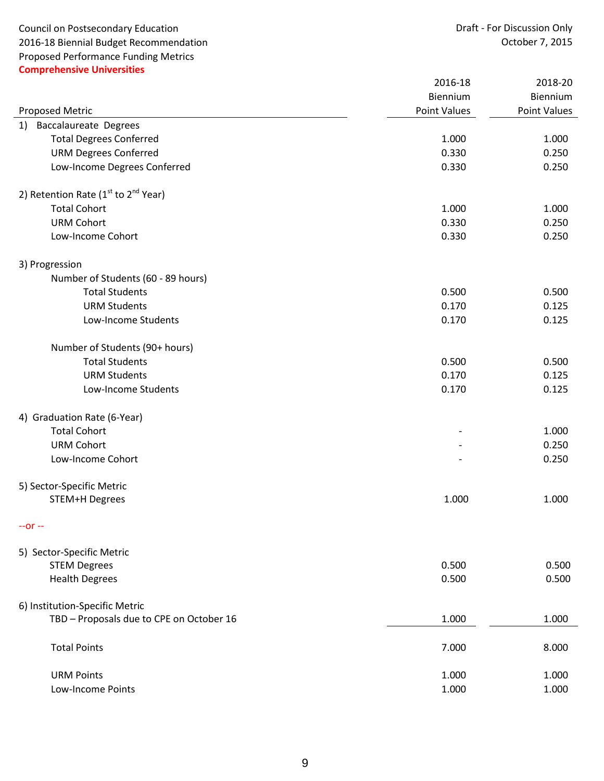Council on Postsecondary Education<br>
2016-18 Biennial Budget Recommendation<br>
2016-18 October 7, 2015 2016-18 Biennial Budget Recommendation Proposed Performance Funding Metrics **Comprehensive Universities**

|                                          | 2016-18             | 2018-20             |
|------------------------------------------|---------------------|---------------------|
|                                          | Biennium            | Biennium            |
| Proposed Metric                          | <b>Point Values</b> | <b>Point Values</b> |
| <b>Baccalaureate Degrees</b><br>1)       |                     |                     |
| <b>Total Degrees Conferred</b>           | 1.000               | 1.000               |
| <b>URM Degrees Conferred</b>             | 0.330               | 0.250               |
| Low-Income Degrees Conferred             | 0.330               | 0.250               |
| 2) Retention Rate ( $1st$ to $2nd$ Year) |                     |                     |
| <b>Total Cohort</b>                      | 1.000               | 1.000               |
| <b>URM Cohort</b>                        | 0.330               | 0.250               |
| Low-Income Cohort                        | 0.330               | 0.250               |
| 3) Progression                           |                     |                     |
| Number of Students (60 - 89 hours)       |                     |                     |
| <b>Total Students</b>                    | 0.500               | 0.500               |
| <b>URM Students</b>                      | 0.170               | 0.125               |
| Low-Income Students                      | 0.170               | 0.125               |
| Number of Students (90+ hours)           |                     |                     |
| <b>Total Students</b>                    | 0.500               | 0.500               |
| <b>URM Students</b>                      | 0.170               | 0.125               |
| Low-Income Students                      | 0.170               | 0.125               |
| 4) Graduation Rate (6-Year)              |                     |                     |
| <b>Total Cohort</b>                      |                     | 1.000               |
| <b>URM Cohort</b>                        |                     | 0.250               |
| Low-Income Cohort                        |                     | 0.250               |
| 5) Sector-Specific Metric                |                     |                     |
| <b>STEM+H Degrees</b>                    | 1.000               | 1.000               |
| $-0r -$                                  |                     |                     |
| 5) Sector-Specific Metric                |                     |                     |
| <b>STEM Degrees</b>                      | 0.500               | 0.500               |
| <b>Health Degrees</b>                    | 0.500               | 0.500               |
| 6) Institution-Specific Metric           |                     |                     |
| TBD - Proposals due to CPE on October 16 | 1.000               | 1.000               |
| <b>Total Points</b>                      | 7.000               | 8.000               |
| <b>URM Points</b>                        | 1.000               | 1.000               |
| Low-Income Points                        | 1.000               | 1.000               |